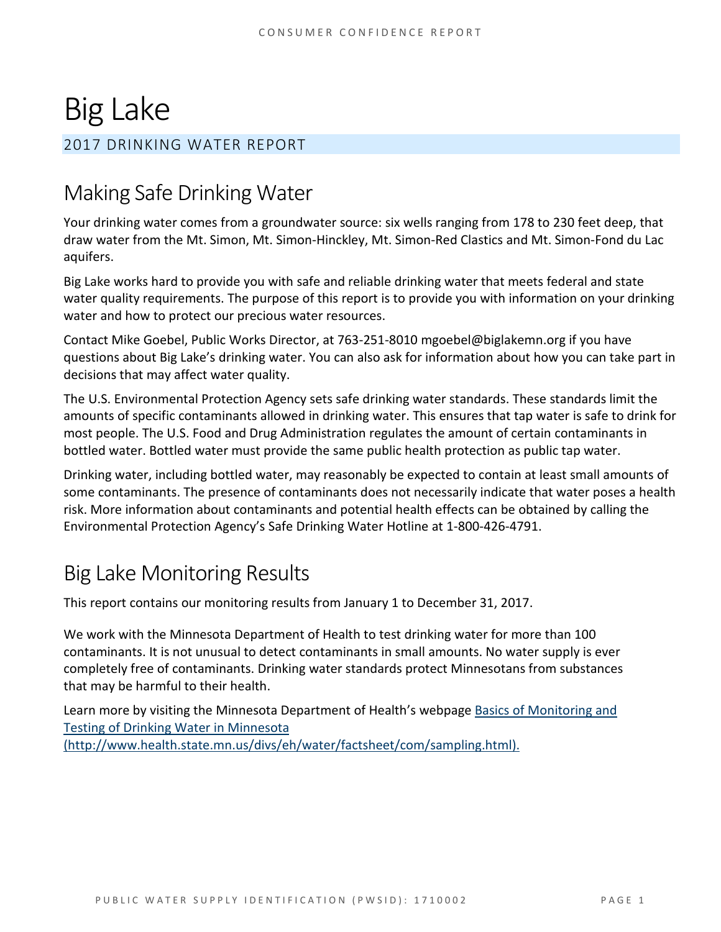# Big Lake

## 2017 DRINKING WATER REPORT

# Making Safe Drinking Water

Your drinking water comes from a groundwater source: six wells ranging from 178 to 230 feet deep, that draw water from the Mt. Simon, Mt. Simon-Hinckley, Mt. Simon-Red Clastics and Mt. Simon-Fond du Lac aquifers.

Big Lake works hard to provide you with safe and reliable drinking water that meets federal and state water quality requirements. The purpose of this report is to provide you with information on your drinking water and how to protect our precious water resources.

Contact Mike Goebel, Public Works Director, at 763-251-8010 mgoebel@biglakemn.org if you have questions about Big Lake's drinking water. You can also ask for information about how you can take part in decisions that may affect water quality.

The U.S. Environmental Protection Agency sets safe drinking water standards. These standards limit the amounts of specific contaminants allowed in drinking water. This ensures that tap water is safe to drink for most people. The U.S. Food and Drug Administration regulates the amount of certain contaminants in bottled water. Bottled water must provide the same public health protection as public tap water.

Drinking water, including bottled water, may reasonably be expected to contain at least small amounts of some contaminants. The presence of contaminants does not necessarily indicate that water poses a health risk. More information about contaminants and potential health effects can be obtained by calling the Environmental Protection Agency's Safe Drinking Water Hotline at 1-800-426-4791.

# Big Lake Monitoring Results

This report contains our monitoring results from January 1 to December 31, 2017.

We work with the Minnesota Department of Health to test drinking water for more than 100 contaminants. It is not unusual to detect contaminants in small amounts. No water supply is ever completely free of contaminants. Drinking water standards protect Minnesotans from substances that may be harmful to their health.

Learn more by visiting the Minnesota Department of Health's webpage Basics of Monitoring and [Testing of Drinking Water in Minnesota](http://www.health.state.mn.us/divs/eh/water/factsheet/com/sampling.html)  [\(http://www.health.state.mn.us/divs/eh/water/factsheet/com/sampling.html\).](http://www.health.state.mn.us/divs/eh/water/factsheet/com/sampling.html)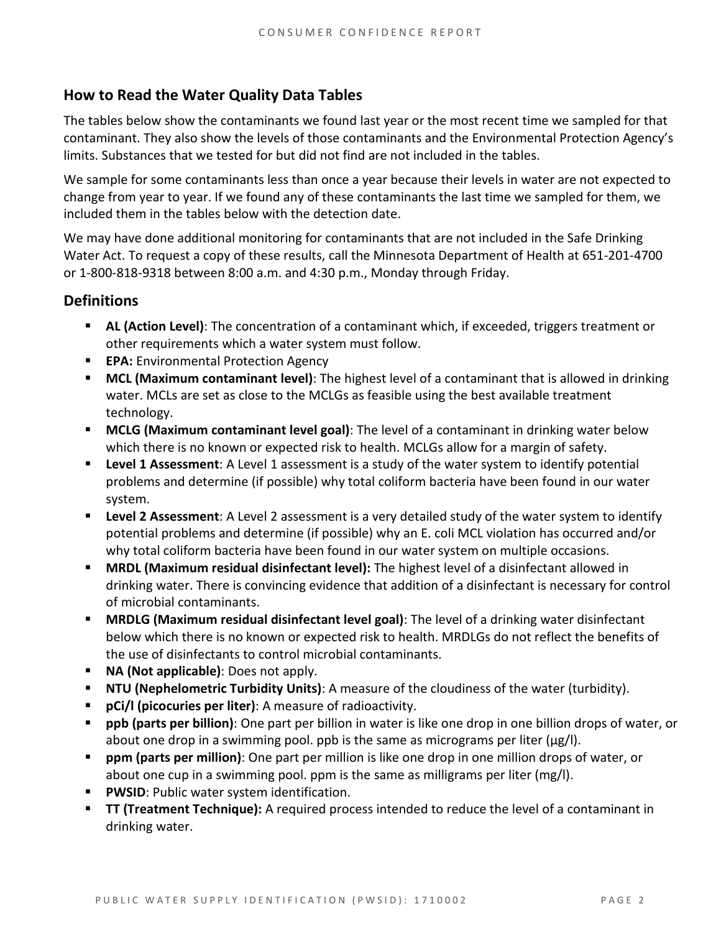### **How to Read the Water Quality Data Tables**

The tables below show the contaminants we found last year or the most recent time we sampled for that contaminant. They also show the levels of those contaminants and the Environmental Protection Agency's limits. Substances that we tested for but did not find are not included in the tables.

We sample for some contaminants less than once a year because their levels in water are not expected to change from year to year. If we found any of these contaminants the last time we sampled for them, we included them in the tables below with the detection date.

We may have done additional monitoring for contaminants that are not included in the Safe Drinking Water Act. To request a copy of these results, call the Minnesota Department of Health at 651-201-4700 or 1-800-818-9318 between 8:00 a.m. and 4:30 p.m., Monday through Friday.

#### **Definitions**

- **AL (Action Level)**: The concentration of a contaminant which, if exceeded, triggers treatment or other requirements which a water system must follow.
- **EPA:** Environmental Protection Agency
- **MCL (Maximum contaminant level)**: The highest level of a contaminant that is allowed in drinking water. MCLs are set as close to the MCLGs as feasible using the best available treatment technology.
- **MCLG (Maximum contaminant level goal)**: The level of a contaminant in drinking water below which there is no known or expected risk to health. MCLGs allow for a margin of safety.
- **Level 1 Assessment:** A Level 1 assessment is a study of the water system to identify potential problems and determine (if possible) why total coliform bacteria have been found in our water system.
- **Level 2 Assessment**: A Level 2 assessment is a very detailed study of the water system to identify potential problems and determine (if possible) why an E. coli MCL violation has occurred and/or why total coliform bacteria have been found in our water system on multiple occasions.
- **MRDL (Maximum residual disinfectant level):** The highest level of a disinfectant allowed in drinking water. There is convincing evidence that addition of a disinfectant is necessary for control of microbial contaminants.
- **MRDLG (Maximum residual disinfectant level goal)**: The level of a drinking water disinfectant below which there is no known or expected risk to health. MRDLGs do not reflect the benefits of the use of disinfectants to control microbial contaminants.
- **NA (Not applicable)**: Does not apply.
- **NTU (Nephelometric Turbidity Units)**: A measure of the cloudiness of the water (turbidity).
- **pCi/l (picocuries per liter)**: A measure of radioactivity.
- **ppb (parts per billion)**: One part per billion in water is like one drop in one billion drops of water, or about one drop in a swimming pool. ppb is the same as micrograms per liter ( $\mu$ g/l).
- **ppm (parts per million)**: One part per million is like one drop in one million drops of water, or about one cup in a swimming pool. ppm is the same as milligrams per liter (mg/l).
- **PWSID:** Public water system identification.
- **TT (Treatment Technique):** A required process intended to reduce the level of a contaminant in drinking water.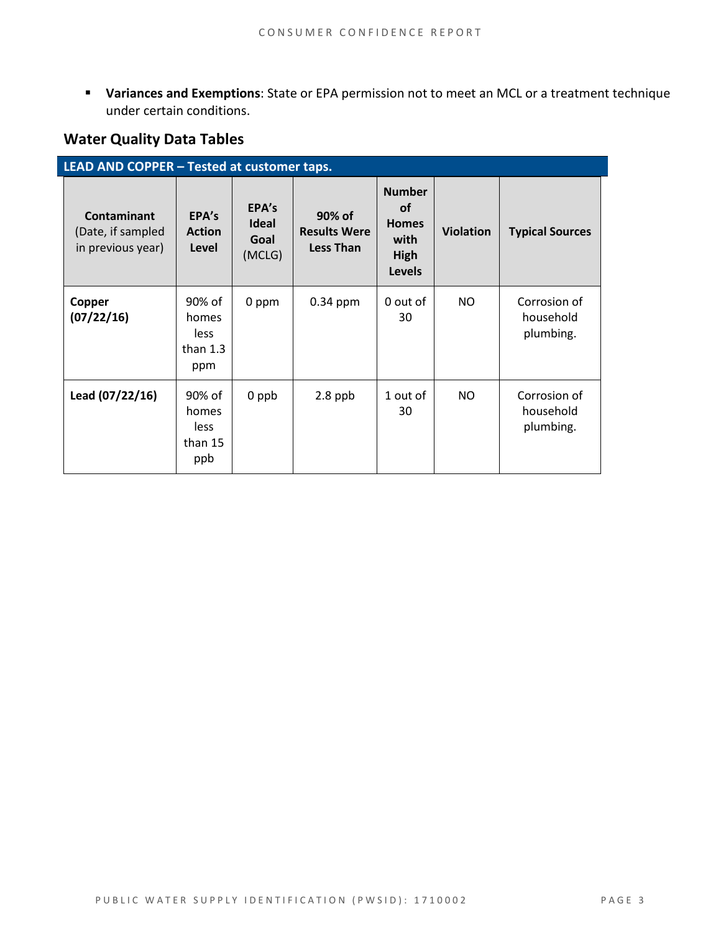**Variances and Exemptions**: State or EPA permission not to meet an MCL or a treatment technique under certain conditions.

### **Water Quality Data Tables**

| LEAD AND COPPER - Tested at customer taps.            |                                              |                                         |                                                   |                                                                             |                  |                                        |  |  |
|-------------------------------------------------------|----------------------------------------------|-----------------------------------------|---------------------------------------------------|-----------------------------------------------------------------------------|------------------|----------------------------------------|--|--|
| Contaminant<br>(Date, if sampled<br>in previous year) | EPA's<br><b>Action</b><br>Level              | EPA's<br><b>Ideal</b><br>Goal<br>(MCLG) | 90% of<br><b>Results Were</b><br><b>Less Than</b> | <b>Number</b><br><b>of</b><br><b>Homes</b><br>with<br>High<br><b>Levels</b> | <b>Violation</b> | <b>Typical Sources</b>                 |  |  |
| Copper<br>(07/22/16)                                  | 90% of<br>homes<br>less<br>than $1.3$<br>ppm | 0 ppm                                   | $0.34$ ppm                                        | 0 out of<br>30                                                              | NO.              | Corrosion of<br>household<br>plumbing. |  |  |
| Lead (07/22/16)                                       | 90% of<br>homes<br>less<br>than 15<br>ppb    | 0 ppb                                   | $2.8$ ppb                                         | 1 out of<br>30                                                              | NO.              | Corrosion of<br>household<br>plumbing. |  |  |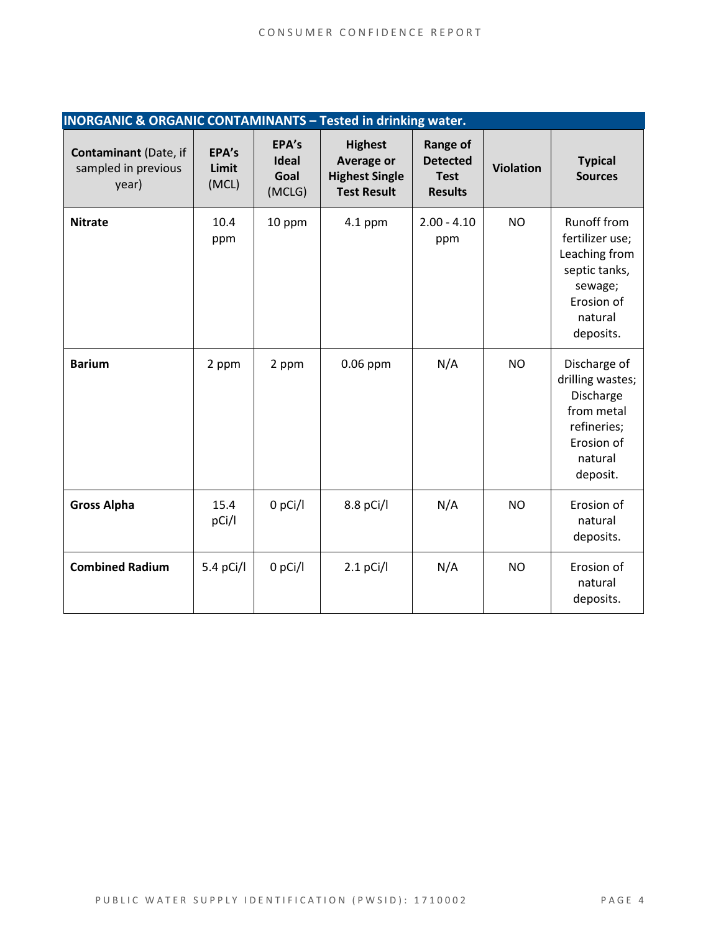| <b>INORGANIC &amp; ORGANIC CONTAMINANTS - Tested in drinking water.</b> |                         |                                         |                                                                             |                                                                     |                  |                                                                                                                   |  |
|-------------------------------------------------------------------------|-------------------------|-----------------------------------------|-----------------------------------------------------------------------------|---------------------------------------------------------------------|------------------|-------------------------------------------------------------------------------------------------------------------|--|
| <b>Contaminant (Date, if</b><br>sampled in previous<br>year)            | EPA's<br>Limit<br>(MCL) | EPA's<br><b>Ideal</b><br>Goal<br>(MCLG) | <b>Highest</b><br>Average or<br><b>Highest Single</b><br><b>Test Result</b> | <b>Range of</b><br><b>Detected</b><br><b>Test</b><br><b>Results</b> | <b>Violation</b> | <b>Typical</b><br><b>Sources</b>                                                                                  |  |
| <b>Nitrate</b>                                                          | 10.4<br>ppm             | 10 ppm                                  | $4.1$ ppm                                                                   | $2.00 - 4.10$<br>ppm                                                | <b>NO</b>        | Runoff from<br>fertilizer use;<br>Leaching from<br>septic tanks,<br>sewage;<br>Erosion of<br>natural<br>deposits. |  |
| <b>Barium</b>                                                           | 2 ppm                   | 2 ppm                                   | $0.06$ ppm                                                                  | N/A                                                                 | <b>NO</b>        | Discharge of<br>drilling wastes;<br>Discharge<br>from metal<br>refineries;<br>Erosion of<br>natural<br>deposit.   |  |
| <b>Gross Alpha</b>                                                      | 15.4<br>pCi/l           | $0$ pCi/l                               | 8.8 pCi/l                                                                   | N/A                                                                 | <b>NO</b>        | Erosion of<br>natural<br>deposits.                                                                                |  |
| <b>Combined Radium</b>                                                  | 5.4 pCi/l               | $0$ pCi/l                               | $2.1$ pCi/l                                                                 | N/A                                                                 | <b>NO</b>        | Erosion of<br>natural<br>deposits.                                                                                |  |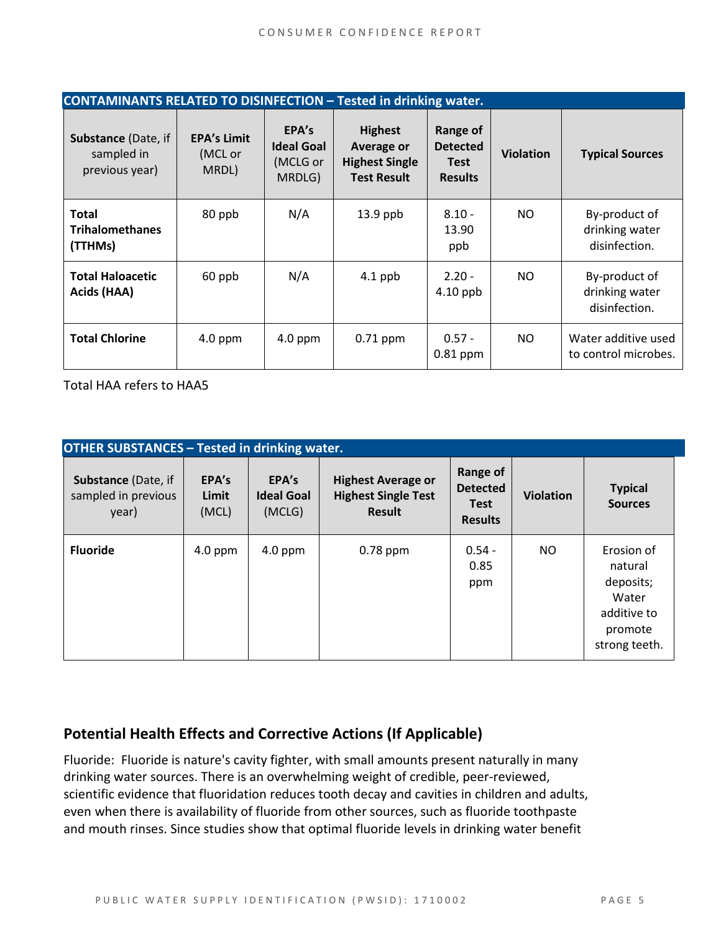| <b>CONTAMINANTS RELATED TO DISINFECTION - Tested in drinking water.</b> |                                        |                                                  |                                                                                    |                                                              |                  |                                                  |  |
|-------------------------------------------------------------------------|----------------------------------------|--------------------------------------------------|------------------------------------------------------------------------------------|--------------------------------------------------------------|------------------|--------------------------------------------------|--|
| <b>Substance (Date, if</b><br>sampled in<br>previous year)              | <b>EPA's Limit</b><br>(MCL or<br>MRDL) | EPA's<br><b>Ideal Goal</b><br>(MCLG or<br>MRDLG) | <b>Highest</b><br><b>Average or</b><br><b>Highest Single</b><br><b>Test Result</b> | Range of<br><b>Detected</b><br><b>Test</b><br><b>Results</b> | <b>Violation</b> | <b>Typical Sources</b>                           |  |
| <b>Total</b><br><b>Trihalomethanes</b><br>(TTHMs)                       | 80 ppb                                 | N/A                                              | $13.9$ ppb                                                                         | $8.10 -$<br>13.90<br>ppb                                     | NO.              | By-product of<br>drinking water<br>disinfection. |  |
| <b>Total Haloacetic</b><br>Acids (HAA)                                  | 60 ppb                                 | N/A                                              | $4.1$ ppb                                                                          | $2.20 -$<br>$4.10$ ppb                                       | NO.              | By-product of<br>drinking water<br>disinfection. |  |
| <b>Total Chlorine</b>                                                   | $4.0$ ppm                              | $4.0$ ppm                                        | $0.71$ ppm                                                                         | $0.57 -$<br>$0.81$ ppm                                       | NO.              | Water additive used<br>to control microbes.      |  |

Total HAA refers to HAA5

| <b>OTHER SUBSTANCES - Tested in drinking water.</b> |                         |                                      |                                                                          |                                                              |                  |                                                                                        |  |  |
|-----------------------------------------------------|-------------------------|--------------------------------------|--------------------------------------------------------------------------|--------------------------------------------------------------|------------------|----------------------------------------------------------------------------------------|--|--|
| Substance (Date, if<br>sampled in previous<br>year) | EPA's<br>Limit<br>(MCL) | EPA's<br><b>Ideal Goal</b><br>(MCLG) | <b>Highest Average or</b><br><b>Highest Single Test</b><br><b>Result</b> | Range of<br><b>Detected</b><br><b>Test</b><br><b>Results</b> | <b>Violation</b> | <b>Typical</b><br><b>Sources</b>                                                       |  |  |
| <b>Fluoride</b>                                     | $4.0$ ppm               | $4.0$ ppm                            | $0.78$ ppm                                                               | $0.54 -$<br>0.85<br>ppm                                      | NO.              | Erosion of<br>natural<br>deposits;<br>Water<br>additive to<br>promote<br>strong teeth. |  |  |

### **Potential Health Effects and Corrective Actions (If Applicable)**

Fluoride: Fluoride is nature's cavity fighter, with small amounts present naturally in many drinking water sources. There is an overwhelming weight of credible, peer-reviewed, scientific evidence that fluoridation reduces tooth decay and cavities in children and adults, even when there is availability of fluoride from other sources, such as fluoride toothpaste and mouth rinses. Since studies show that optimal fluoride levels in drinking water benefit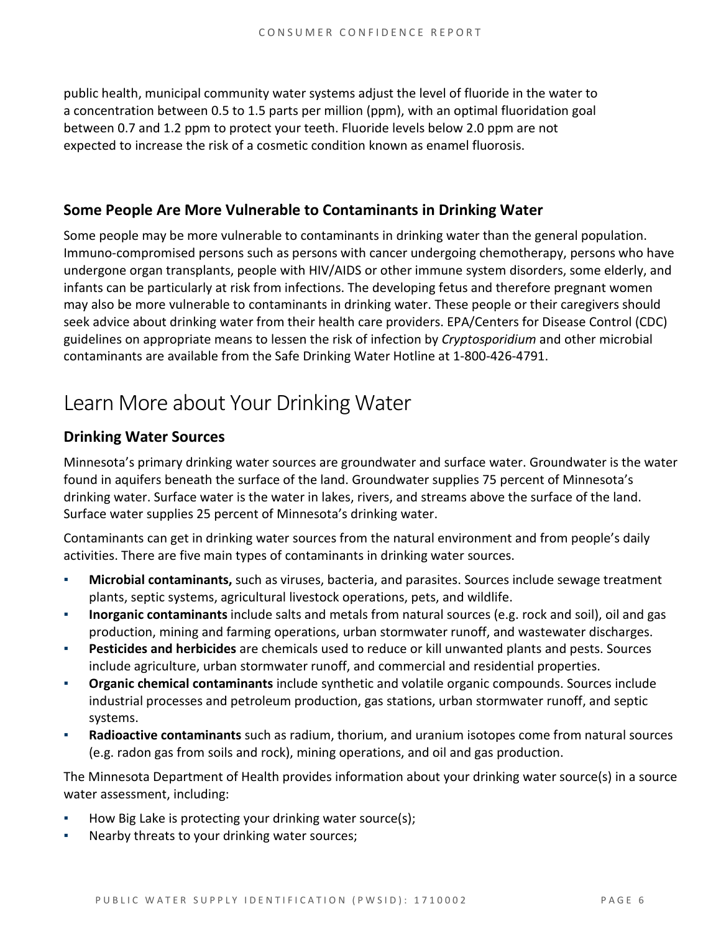public health, municipal community water systems adjust the level of fluoride in the water to a concentration between 0.5 to 1.5 parts per million (ppm), with an optimal fluoridation goal between 0.7 and 1.2 ppm to protect your teeth. Fluoride levels below 2.0 ppm are not expected to increase the risk of a cosmetic condition known as enamel fluorosis.

#### **Some People Are More Vulnerable to Contaminants in Drinking Water**

Some people may be more vulnerable to contaminants in drinking water than the general population. Immuno-compromised persons such as persons with cancer undergoing chemotherapy, persons who have undergone organ transplants, people with HIV/AIDS or other immune system disorders, some elderly, and infants can be particularly at risk from infections. The developing fetus and therefore pregnant women may also be more vulnerable to contaminants in drinking water. These people or their caregivers should seek advice about drinking water from their health care providers. EPA/Centers for Disease Control (CDC) guidelines on appropriate means to lessen the risk of infection by *Cryptosporidium* and other microbial contaminants are available from the Safe Drinking Water Hotline at 1-800-426-4791.

# Learn More about Your Drinking Water

#### **Drinking Water Sources**

Minnesota's primary drinking water sources are groundwater and surface water. Groundwater is the water found in aquifers beneath the surface of the land. Groundwater supplies 75 percent of Minnesota's drinking water. Surface water is the water in lakes, rivers, and streams above the surface of the land. Surface water supplies 25 percent of Minnesota's drinking water.

Contaminants can get in drinking water sources from the natural environment and from people's daily activities. There are five main types of contaminants in drinking water sources.

- **Microbial contaminants,** such as viruses, bacteria, and parasites. Sources include sewage treatment plants, septic systems, agricultural livestock operations, pets, and wildlife.
- **Inorganic contaminants** include salts and metals from natural sources (e.g. rock and soil), oil and gas production, mining and farming operations, urban stormwater runoff, and wastewater discharges.
- **Pesticides and herbicides** are chemicals used to reduce or kill unwanted plants and pests. Sources include agriculture, urban stormwater runoff, and commercial and residential properties.
- **Organic chemical contaminants** include synthetic and volatile organic compounds. Sources include industrial processes and petroleum production, gas stations, urban stormwater runoff, and septic systems.
- **Radioactive contaminants** such as radium, thorium, and uranium isotopes come from natural sources (e.g. radon gas from soils and rock), mining operations, and oil and gas production.

The Minnesota Department of Health provides information about your drinking water source(s) in a source water assessment, including:

- How Big Lake is protecting your drinking water source(s);
- Nearby threats to your drinking water sources;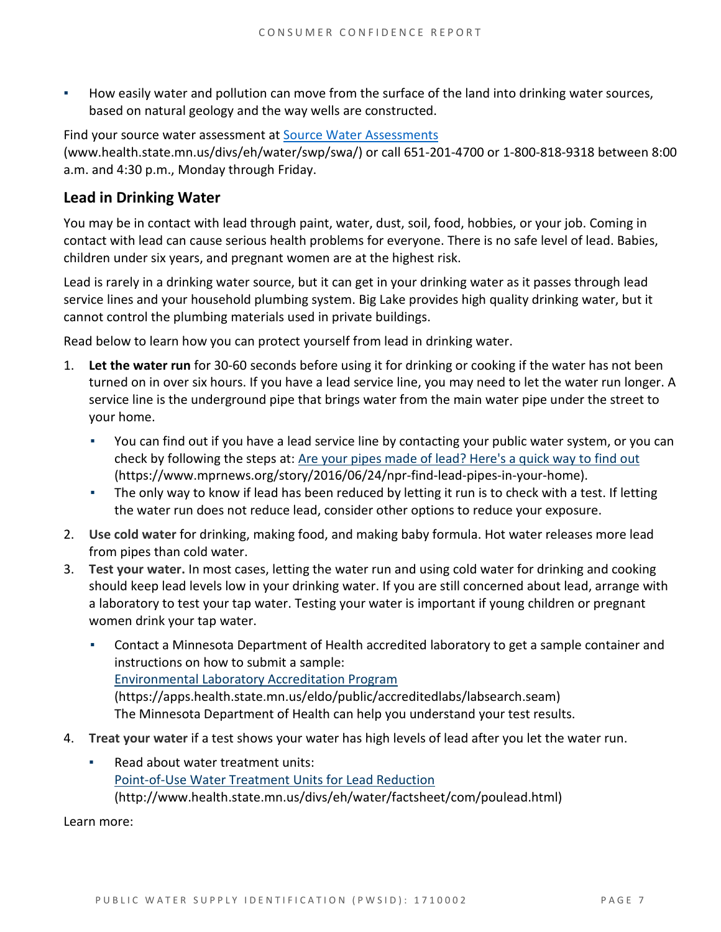How easily water and pollution can move from the surface of the land into drinking water sources, based on natural geology and the way wells are constructed.

Find your source water assessment a[t Source Water Assessments](http://www.health.state.mn.us/divs/eh/water/swp/swa/index.html)  [\(www.health.state.mn.us/divs/eh/water/swp/swa/\)](http://www.health.state.mn.us/divs/eh/water/swp/swa/index.html) or call 651-201-4700 or 1-800-818-9318 between 8:00 a.m. and 4:30 p.m., Monday through Friday.

#### **Lead in Drinking Water**

You may be in contact with lead through paint, water, dust, soil, food, hobbies, or your job. Coming in contact with lead can cause serious health problems for everyone. There is no safe level of lead. Babies, children under six years, and pregnant women are at the highest risk.

Lead is rarely in a drinking water source, but it can get in your drinking water as it passes through lead service lines and your household plumbing system. Big Lake provides high quality drinking water, but it cannot control the plumbing materials used in private buildings.

Read below to learn how you can protect yourself from lead in drinking water.

- 1. **Let the water run** for 30-60 seconds before using it for drinking or cooking if the water has not been turned on in over six hours. If you have a lead service line, you may need to let the water run longer. A service line is the underground pipe that brings water from the main water pipe under the street to your home.
	- You can find out if you have a lead service line by contacting your public water system, or you can check by following the steps at: [Are your pipes made of lead? Here's a quick way to find out](https://www.mprnews.org/story/2016/06/24/npr-find-lead-pipes-in-your-home)  [\(https://www.mprnews.org/story/2016/06/24/npr-find-lead-pipes-in-your-home\).](https://www.mprnews.org/story/2016/06/24/npr-find-lead-pipes-in-your-home)
	- The only way to know if lead has been reduced by letting it run is to check with a test. If letting the water run does not reduce lead, consider other options to reduce your exposure.
- 2. **Use cold water** for drinking, making food, and making baby formula. Hot water releases more lead from pipes than cold water.
- 3. **Test your water.** In most cases, letting the water run and using cold water for drinking and cooking should keep lead levels low in your drinking water. If you are still concerned about lead, arrange with a laboratory to test your tap water. Testing your water is important if young children or pregnant women drink your tap water.
	- **Contact a Minnesota Department of Health accredited laboratory to get a sample container and** instructions on how to submit a sample: [Environmental Laboratory Accreditation Program](https://mn365.sharepoint.com/teams/MDH/permanent/comm_proj/PlainLanguageProject/Shared%20Documents/Environmental%20Laboratory%20Accreditation%20Program%20(https:/apps.health.state.mn.us/eldo/public/accreditedlabs/labsearch.seam))  [\(https://apps.health.state.mn.us/eldo/public/accreditedlabs/labsearch.seam\)](https://mn365.sharepoint.com/teams/MDH/permanent/comm_proj/PlainLanguageProject/Shared%20Documents/Environmental%20Laboratory%20Accreditation%20Program%20(https:/apps.health.state.mn.us/eldo/public/accreditedlabs/labsearch.seam)) The Minnesota Department of Health can help you understand your test results.
- 4. **Treat your water** if a test shows your water has high levels of lead after you let the water run.
	- Read about water treatment units: [Point-of-Use Water Treatment Units for Lead Reduction](http://www.health.state.mn.us/divs/eh/water/factsheet/com/poulead.html)  [\(http://www.health.state.mn.us/divs/eh/water/factsheet/com/poulead.html\)](http://www.health.state.mn.us/divs/eh/water/factsheet/com/poulead.html)

Learn more: